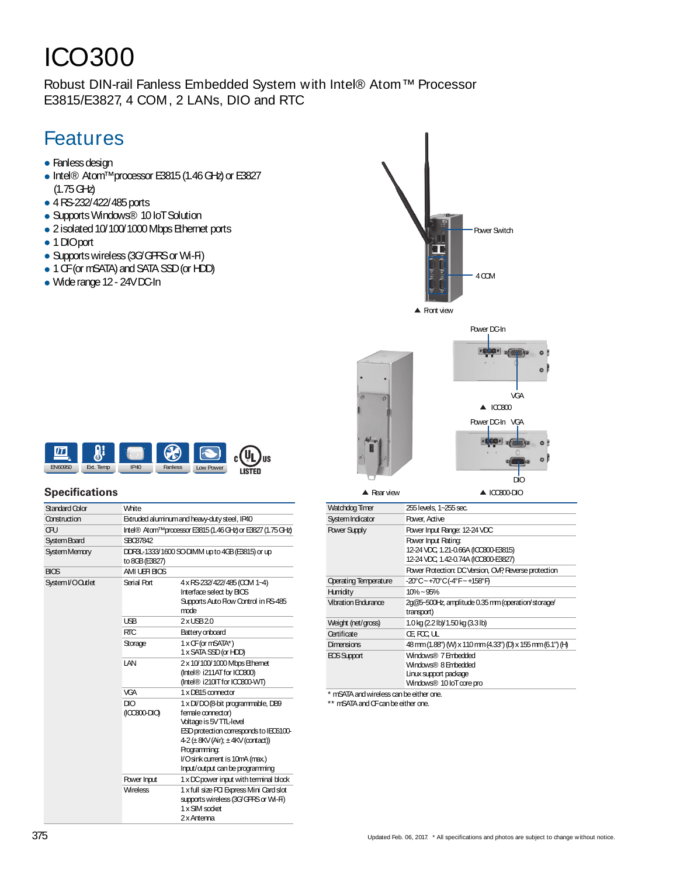# ICO300

Robust DIN-rail Fanless Embedded System with Intel® Atom™ Processor E3815/E3827, 4 COM, 2 LANs, DIO and RTC

## Features

- Fanless design
- Intel® Atom<sup>™</sup>processor E3815 (1.46 GHz) or E3827  $(1.75 \text{ GHz})$
- 4RS-232/422/485ports
- Supports Windows® 10 IoT Solution
- 2 isolated 10/100/1000 Mbps Ethernet ports
- 1 DIOport
- Supports wireless (3G/GFRS or Wi-Fi)
- 1 CF (or mSATA) and SATA SSD (or HDD)
- Wide range 12 24VDC-In



 $|T|$  $\bigcirc$ US EN60950 Ext. Temp IP40 Fanless Low Power **LISTED** 

### **Specifications**

| Standard Color      | White                                                                   |                                                                                                                                                                                                                                                                    |  |
|---------------------|-------------------------------------------------------------------------|--------------------------------------------------------------------------------------------------------------------------------------------------------------------------------------------------------------------------------------------------------------------|--|
| Construction        | Extruded aluminum and heavy-duty steel, IP40                            |                                                                                                                                                                                                                                                                    |  |
| œп                  | Intel® Atom <sup>™</sup> processor E3815 (1.46 GHz) or E3827 (1.75 GHz) |                                                                                                                                                                                                                                                                    |  |
| <b>System Board</b> | SBC87842                                                                |                                                                                                                                                                                                                                                                    |  |
| System Memory       | to 8GB (E3827)                                                          | DDR3L-1333/1600 SO-DIMM up to 4GB (E3815) or up                                                                                                                                                                                                                    |  |
| <b>BIOS</b>         | AMI UE HBIOS                                                            |                                                                                                                                                                                                                                                                    |  |
| System I/O Outlet   | Serial Port                                                             | 4 x RS-232/422/485 (COM 1~4)<br>Interface select by BICS<br>Supports Auto Flow Control in RS-485<br>mode                                                                                                                                                           |  |
|                     | <b>USB</b>                                                              | $2x$ LSB $20$                                                                                                                                                                                                                                                      |  |
|                     | <b>RTC</b>                                                              | Battery onboard                                                                                                                                                                                                                                                    |  |
|                     | Storage                                                                 | 1 x OF (or mSATA*)<br>1 x SATA SSD (or HDD)                                                                                                                                                                                                                        |  |
|                     | LAN                                                                     | 2 x 10/100/1000 Mbps Ethernet<br>(Intel® i211AT for ICCB00)<br>(Intel® i210IT for ICCB00-WT)                                                                                                                                                                       |  |
|                     | <b>VGA</b>                                                              | 1 x DB15 connector                                                                                                                                                                                                                                                 |  |
|                     | DIO<br>$(100800 - DIO)$                                                 | 1 x DI/DO (8-bit programmable, DB9<br>female connector)<br>Voltage is 5V TTL-level<br>ESD protection corresponds to IEC6100-<br>$4-2$ ( $\pm$ 8KV (Air); $\pm$ 4KV (contact))<br>Programming:<br>l/Osink current is 10mA (max.)<br>Input/output can be programming |  |
|                     | Power Input                                                             | 1 x DC power input with terminal block                                                                                                                                                                                                                             |  |
|                     | <b>Wireless</b>                                                         | 1 x full size PCI Express Mini Card slot<br>supports wireless (3G/GPRS or Wi-Fi)<br>1 x SIM socket<br>2 x Antenna                                                                                                                                                  |  |

| Watchdog Timer               | 255 levels, 1~255 sec.                                                                                   |
|------------------------------|----------------------------------------------------------------------------------------------------------|
| System Indicator             | Power, Active                                                                                            |
| <b>Power Supply</b>          | Power Input Range: 12-24 VDC                                                                             |
|                              | <b>Power Input Rating:</b><br>12-24 VDC 1.21-0.66A (ICO300-E3815)<br>12-24 VDC 1.42-0.74A (ICO300-E3827) |
|                              | Power Protection: DC Version, OVP, Reverse protection                                                    |
| <b>Operating Temperature</b> | -20°C~+70°C(-4°F~+158°F)                                                                                 |
| Humidity                     | $10\% - 95\%$                                                                                            |
| <b>Vibration Endurance</b>   | 2g@5~500Hz, amplitude 0.35 mm (operation/storage/<br>transport)                                          |
| Weight (net/gross)           | 1.0 kg (2.2 lb)/ 1.50 kg (3.3 lb)                                                                        |
| Certificate                  | Œ FOC UL                                                                                                 |
| Dimensions                   | 48 mm (1.88") (W) x 110 mm (4.33") (D) x 155 mm (6.1") (H)                                               |
| EOS Support                  | Windows® 7 Embedded<br>Windows® 8 Embedded<br>Linux support package<br>Windows® 10 loT core pro          |

\* mSATA and wireless can be either one.

\*\* mSATA and CF can be either one.